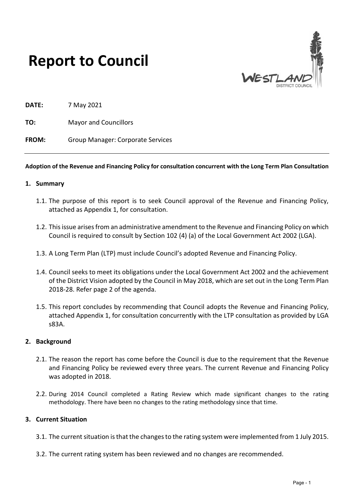



**DATE:** 7 May 2021

**TO:** Mayor and Councillors

**FROM:** Group Manager: Corporate Services

#### **Adoption of the Revenue and Financing Policy for consultation concurrent with the Long Term Plan Consultation**

- **1. Summary** 
	- 1.1. The purpose of this report is to seek Council approval of the Revenue and Financing Policy, attached as Appendix 1, for consultation.
	- 1.2. This issue arises from an administrative amendment to the Revenue and Financing Policy on which Council is required to consult by Section 102 (4) (a) of the Local Government Act 2002 (LGA).
	- 1.3. A Long Term Plan (LTP) must include Council's adopted Revenue and Financing Policy.
	- 1.4. Council seeks to meet its obligations under the Local Government Act 2002 and the achievement of the District Vision adopted by the Council in May 2018, which are set out in the Long Term Plan 2018-28. Refer page 2 of the agenda.
	- 1.5. This report concludes by recommending that Council adopts the Revenue and Financing Policy, attached Appendix 1, for consultation concurrently with the LTP consultation as provided by LGA s83A.

#### **2. Background**

- 2.1. The reason the report has come before the Council is due to the requirement that the Revenue and Financing Policy be reviewed every three years. The current Revenue and Financing Policy was adopted in 2018.
- 2.2. During 2014 Council completed a Rating Review which made significant changes to the rating methodology. There have been no changes to the rating methodology since that time.

#### **3. Current Situation**

- 3.1. The current situation is that the changes to the rating system were implemented from 1 July 2015.
- 3.2. The current rating system has been reviewed and no changes are recommended.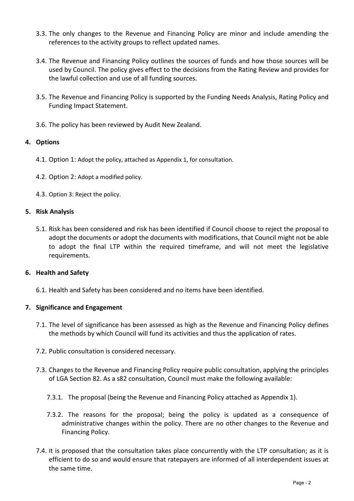- 3.3. The only changes to the Revenue and Financing Policy are minor and include amending the references to the activity groups to reflect updated names.
- 3.4. The Revenue and Financing Policy outlines the sources of funds and how those sources will be used by Council. The policy gives effect to the decisions from the Rating Review and provides for the lawful collection and use of all funding sources.
- 3.5. The Revenue and Financing Policy is supported by the Funding Needs Analysis, Rating Policy and Funding Impact Statement.
- 3.6. The policy has been reviewed by Audit New Zealand.

# **4. Options**

- 4.1. Option 1: Adopt the policy, attached as Appendix 1, for consultation.
- 4.2. Option 2: Adopt a modified policy.
- 4.3. Option 3: Reject the policy.

## **5. Risk Analysis**

5.1. Risk has been considered and risk has been identified if Council choose to reject the proposal to adopt the documents or adopt the documents with modifications, that Council might not be able to adopt the final LTP within the required timeframe, and will not meet the legislative requirements.

# **6. Health and Safety**

6.1. Health and Safety has been considered and no items have been identified.

# **7. Significance and Engagement**

- 7.1. The level of significance has been assessed as high as the Revenue and Financing Policy defines the methods by which Council will fund its activities and thus the application of rates.
- 7.2. Public consultation is considered necessary.
- 7.3. Changes to the Revenue and Financing Policy require public consultation, applying the principles of LGA Section 82. As a s82 consultation, Council must make the following available:
	- 7.3.1. The proposal (being the Revenue and Financing Policy attached as Appendix 1).
	- 7.3.2. The reasons for the proposal; being the policy is updated as a consequence of administrative changes within the policy. There are no other changes to the Revenue and Financing Policy.
- 7.4. It is proposed that the consultation takes place concurrently with the LTP consultation; as it is efficient to do so and would ensure that ratepayers are informed of all interdependent issues at the same time.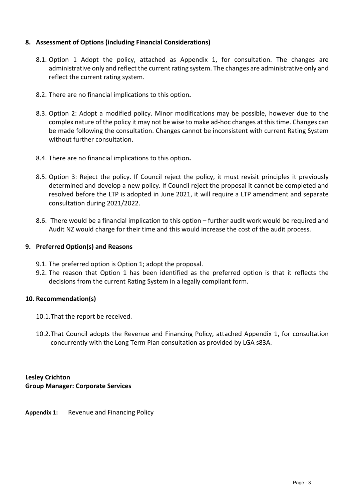# **8. Assessment of Options (including Financial Considerations)**

- 8.1. Option 1 Adopt the policy, attached as Appendix 1, for consultation. The changes are administrative only and reflect the current rating system. The changes are administrative only and reflect the current rating system.
- 8.2. There are no financial implications to this option**.**
- 8.3. Option 2: Adopt a modified policy. Minor modifications may be possible, however due to the complex nature of the policy it may not be wise to make ad-hoc changes at this time. Changes can be made following the consultation. Changes cannot be inconsistent with current Rating System without further consultation.
- 8.4. There are no financial implications to this option**.**
- 8.5. Option 3: Reject the policy. If Council reject the policy, it must revisit principles it previously determined and develop a new policy. If Council reject the proposal it cannot be completed and resolved before the LTP is adopted in June 2021, it will require a LTP amendment and separate consultation during 2021/2022.
- 8.6. There would be a financial implication to this option further audit work would be required and Audit NZ would charge for their time and this would increase the cost of the audit process.

## **9. Preferred Option(s) and Reasons**

- 9.1. The preferred option is Option 1; adopt the proposal.
- 9.2. The reason that Option 1 has been identified as the preferred option is that it reflects the decisions from the current Rating System in a legally compliant form.

## **10. Recommendation(s)**

- 10.1.That the report be received.
- 10.2.That Council adopts the Revenue and Financing Policy, attached Appendix 1, for consultation concurrently with the Long Term Plan consultation as provided by LGA s83A.

# **Lesley Crichton Group Manager: Corporate Services**

**Appendix 1:** Revenue and Financing Policy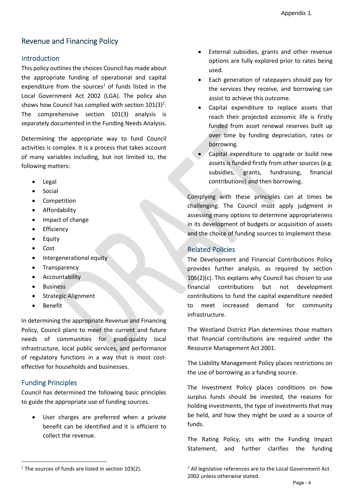# Revenue and Financing Policy

# **Introduction**

This policy outlines the choices Council has made about the appropriate funding of operational and capital expenditure from the sources<sup>1</sup> of funds listed in the Local Government Act 2002 (LGA). The policy also shows how Council has complied with section  $101(3)^2$ . The comprehensive section 101(3) analysis is separately documented in the Funding Needs Analysis.

Determining the appropriate way to fund Council activities is complex. It is a process that takes account of many variables including, but not limited to, the following matters:

- Legal
- Social
- Competition
- Affordability
- Impact of change
- **•** Efficiency
- Equity
- Cost
- Intergenerational equity
- Transparency
- Accountability
- **•** Business
- Strategic Alignment
- Benefit

In determining the appropriate Revenue and Financing Policy, Council plans to meet the current and future needs of communities for good-quality local infrastructure, local public services, and performance of regulatory functions in a way that is most costeffective for households and businesses.

# Funding Principles

Council has determined the following basic principles to guide the appropriate use of funding sources.

 User charges are preferred when a private benefit can be identified and it is efficient to collect the revenue.

- Each generation of ratepayers should pay for the services they receive, and borrowing can assist to achieve this outcome.
- Capital expenditure to replace assets that reach their projected economic life is firstly funded from asset renewal reserves built up over time by funding depreciation, rates or borrowing.
- Capital expenditure to upgrade or build new assets is funded firstly from other sources (e.g. subsidies, grants, fundraising, financial contributions) and then borrowing.

Complying with these principles can at times be challenging. The Council must apply judgment in assessing many options to determine appropriateness in its development of budgets or acquisition of assets and the choice of funding sources to implement these.

# Related Policies

The Development and Financial Contributions Policy provides further analysis, as required by section 106(2)(c). This explains why Council has chosen to use financial contributions but not development contributions to fund the capital expenditure needed to meet increased demand for community infrastructure.

The Westland District Plan determines those matters that financial contributions are required under the Resource Management Act 2001.

The Liability Management Policy places restrictions on the use of borrowing as a funding source.

The Investment Policy places conditions on how surplus funds should be invested, the reasons for holding investments, the type of investments that may be held, and how they might be used as a source of funds.

The Rating Policy, sits with the Funding Impact Statement, and further clarifies the funding

External subsidies, grants and other revenue options are fully explored prior to rates being used.

 $1$  The sources of funds are listed in section 103(2).

 $2$  All legislative references are to the Local Government Act 2002 unless otherwise stated.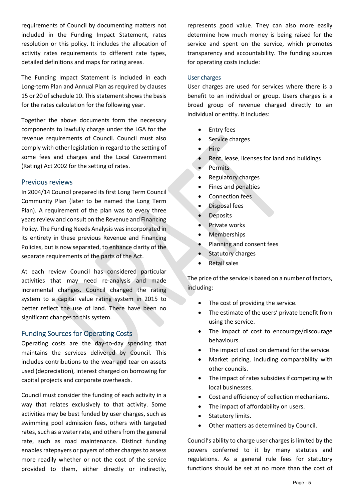requirements of Council by documenting matters not included in the Funding Impact Statement, rates resolution or this policy. It includes the allocation of activity rates requirements to different rate types, detailed definitions and maps for rating areas.

The Funding Impact Statement is included in each Long-term Plan and Annual Plan as required by clauses 15 or 20 of schedule 10. This statement shows the basis for the rates calculation for the following year.

Together the above documents form the necessary components to lawfully charge under the LGA for the revenue requirements of Council. Council must also comply with other legislation in regard to the setting of some fees and charges and the Local Government (Rating) Act 2002 for the setting of rates.

## Previous reviews

In 2004/14 Council prepared its first Long Term Council Community Plan (later to be named the Long Term Plan). A requirement of the plan was to every three years review and consult on the Revenue and Financing Policy. The Funding Needs Analysis was incorporated in its entirety in these previous Revenue and Financing Policies, but is now separated, to enhance clarity of the separate requirements of the parts of the Act.

At each review Council has considered particular activities that may need re-analysis and made incremental changes. Council changed the rating system to a capital value rating system in 2015 to better reflect the use of land. There have been no significant changes to this system.

## Funding Sources for Operating Costs

Operating costs are the day-to-day spending that maintains the services delivered by Council. This includes contributions to the wear and tear on assets used (depreciation), interest charged on borrowing for capital projects and corporate overheads.

Council must consider the funding of each activity in a way that relates exclusively to that activity. Some activities may be best funded by user charges, such as swimming pool admission fees, others with targeted rates, such as a water rate, and others from the general rate, such as road maintenance. Distinct funding enables ratepayers or payers of other charges to assess more readily whether or not the cost of the service provided to them, either directly or indirectly,

represents good value. They can also more easily determine how much money is being raised for the service and spent on the service, which promotes transparency and accountability. The funding sources for operating costs include:

#### User charges

User charges are used for services where there is a benefit to an individual or group. Users charges is a broad group of revenue charged directly to an individual or entity. It includes:

- Entry fees
- Service charges
- **Hire**
- Rent, lease, licenses for land and buildings
- $\bullet$  Permits
- Regulatory charges
- Fines and penalties
- Connection fees
- **•** Disposal fees
- Deposits
- Private works
- Memberships
- Planning and consent fees
- Statutory charges
- Retail sales

The price of the service is based on a number of factors, including:

- The cost of providing the service.
- The estimate of the users' private benefit from using the service.
- The impact of cost to encourage/discourage behaviours.
- The impact of cost on demand for the service.
- Market pricing, including comparability with other councils.
- The impact of rates subsidies if competing with local businesses.
- Cost and efficiency of collection mechanisms.
- The impact of affordability on users.
- Statutory limits.
- Other matters as determined by Council.

Council's ability to charge user charges is limited by the powers conferred to it by many statutes and regulations. As a general rule fees for statutory functions should be set at no more than the cost of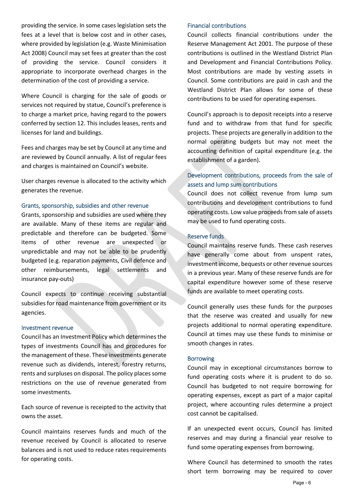providing the service. In some cases legislation sets the fees at a level that is below cost and in other cases, where provided by legislation (e.g. Waste Minimisation Act 2008) Council may set fees at greater than the cost of providing the service. Council considers it appropriate to incorporate overhead charges in the determination of the cost of providing a service.

Where Council is charging for the sale of goods or services not required by statue, Council's preference is to charge a market price, having regard to the powers conferred by section 12. This includes leases, rents and licenses for land and buildings.

Fees and charges may be set by Council at any time and are reviewed by Council annually. A list of regular fees and charges is maintained on Council's website.

User charges revenue is allocated to the activity which generates the revenue.

#### Grants, sponsorship, subsidies and other revenue

Grants, sponsorship and subsidies are used where they are available. Many of these items are regular and predictable and therefore can be budgeted. Some items of other revenue are unexpected or unpredictable and may not be able to be prudently budgeted (e.g. reparation payments, Civil defence and other reimbursements, legal settlements and insurance pay-outs)

Council expects to continue receiving substantial subsidies for road maintenance from government or its agencies.

#### Investment revenue

Council has an Investment Policy which determines the types of investments Council has and procedures for the management of these. These investments generate revenue such as dividends, interest, forestry returns, rents and surpluses on disposal. The policy places some restrictions on the use of revenue generated from some investments.

Each source of revenue is receipted to the activity that owns the asset.

Council maintains reserves funds and much of the revenue received by Council is allocated to reserve balances and is not used to reduce rates requirements for operating costs.

#### Financial contributions

Council collects financial contributions under the Reserve Management Act 2001. The purpose of these contributions is outlined in the Westland District Plan and Development and Financial Contributions Policy. Most contributions are made by vesting assets in Council. Some contributions are paid in cash and the Westland District Plan allows for some of these contributions to be used for operating expenses.

Council's approach is to deposit receipts into a reserve fund and to withdraw from that fund for specific projects. These projects are generally in addition to the normal operating budgets but may not meet the accounting definition of capital expenditure (e.g. the establishment of a garden).

# Development contributions, proceeds from the sale of assets and lump sum contributions

Council does not collect revenue from lump sum contributions and development contributions to fund operating costs. Low value proceeds from sale of assets may be used to fund operating costs.

### Reserve funds

Council maintains reserve funds. These cash reserves have generally come about from unspent rates, investment income, bequests or other revenue sources in a previous year. Many of these reserve funds are for capital expenditure however some of these reserve funds are available to meet operating costs.

Council generally uses these funds for the purposes that the reserve was created and usually for new projects additional to normal operating expenditure. Council at times may use these funds to minimise or smooth changes in rates.

#### Borrowing

Council may in exceptional circumstances borrow to fund operating costs where it is prudent to do so. Council has budgeted to not require borrowing for operating expenses, except as part of a major capital project, where accounting rules determine a project cost cannot be capitalised.

If an unexpected event occurs, Council has limited reserves and may during a financial year resolve to fund some operating expenses from borrowing.

Where Council has determined to smooth the rates short term borrowing may be required to cover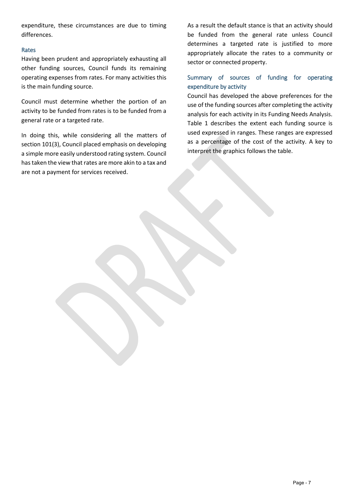expenditure, these circumstances are due to timing differences.

### Rates

Having been prudent and appropriately exhausting all other funding sources, Council funds its remaining operating expenses from rates. For many activities this is the main funding source.

Council must determine whether the portion of an activity to be funded from rates is to be funded from a general rate or a targeted rate.

In doing this, while considering all the matters of section 101(3), Council placed emphasis on developing a simple more easily understood rating system. Council has taken the view that rates are more akin to a tax and are not a payment for services received.

As a result the default stance is that an activity should be funded from the general rate unless Council determines a targeted rate is justified to more appropriately allocate the rates to a community or sector or connected property.

# Summary of sources of funding for operating expenditure by activity

Council has developed the above preferences for the use of the funding sources after completing the activity analysis for each activity in its Funding Needs Analysis. Table 1 describes the extent each funding source is used expressed in ranges. These ranges are expressed as a percentage of the cost of the activity. A key to interpret the graphics follows the table.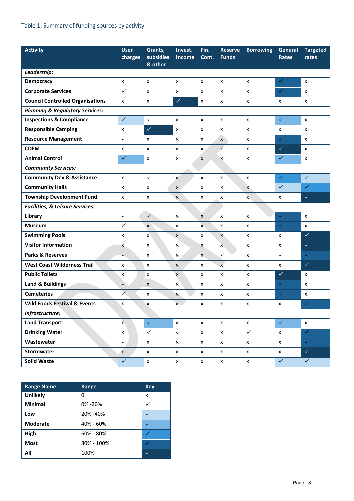# Table 1: Summary of funding sources by activity

| <b>Activity</b>                            | <b>User</b><br>charges | Grants,<br>subsidies | Invest.<br><b>Income</b> | Fin.<br>Cont.      | <b>Reserve</b><br><b>Funds</b> | <b>Borrowing</b>   | General<br><b>Rates</b> | <b>Targeted</b><br>rates |
|--------------------------------------------|------------------------|----------------------|--------------------------|--------------------|--------------------------------|--------------------|-------------------------|--------------------------|
|                                            |                        | & other              |                          |                    |                                |                    |                         |                          |
| Leadership:                                |                        |                      |                          |                    |                                |                    |                         |                          |
| Democracy                                  | X                      | x                    | x                        | x                  | x                              | x                  | $\checkmark$            | X                        |
| <b>Corporate Services</b>                  | $\checkmark$           | x                    | X                        | X                  | x                              | x                  | $\checkmark$            | $\pmb{\mathsf{X}}$       |
| <b>Council Controlled Organisations</b>    | x                      | x                    | $\checkmark$             | X                  | x                              | X                  | X                       | x                        |
| <b>Planning &amp; Regulatory Services:</b> |                        |                      |                          |                    |                                |                    |                         |                          |
| <b>Inspections &amp; Compliance</b>        | $\checkmark$           | $\checkmark$         | x                        | X                  | x                              | x                  | $\checkmark$            | $\pmb{\mathsf{x}}$       |
| <b>Responsible Camping</b>                 | X                      | $\checkmark$         | x                        | X                  | x                              | x                  | X                       | X                        |
| <b>Resource Management</b>                 | $\checkmark$           | x                    | x                        | x                  | $\pmb{\mathsf{x}}$             | x                  | $\checkmark$            | X                        |
| <b>CDEM</b>                                | x                      | x                    | x                        | X.                 | $\mathbf{x}$                   | x                  | $\checkmark$            | X                        |
| <b>Animal Control</b>                      | $\checkmark$           | x                    | X                        | X                  | X                              | x                  | $\checkmark$            | X                        |
| <b>Community Services:</b>                 |                        |                      |                          |                    |                                |                    |                         |                          |
| <b>Community Dev &amp; Assistance</b>      | x                      | $\checkmark$         | $\pmb{\times}$           | X                  | X                              | x                  | $\checkmark$            | $\checkmark$             |
| <b>Community Halls</b>                     | x                      | x                    | X                        | X                  | x                              | $\mathsf{x}$       | $\checkmark$            | $\checkmark$             |
| <b>Township Development Fund</b>           | X                      | x                    | $\mathsf{x}$             | x                  | x                              | $\mathsf{x}$       | x                       | $\checkmark$             |
| <b>Facilities, &amp; Leisure Services:</b> |                        |                      |                          |                    |                                |                    |                         |                          |
| Library                                    | $\checkmark$           | $\checkmark$         | x                        | X                  | x                              | x                  | $\checkmark$            | X                        |
| <b>Museum</b>                              | $\checkmark$           | $\pmb{\mathsf{x}}$   | X                        | $\mathsf{x}$       | x                              | x                  | $\checkmark$            | X                        |
| <b>Swimming Pools</b>                      | X                      | $\mathsf{x}$         | X                        | x                  | $\mathsf{X}$                   | x                  | X                       | $\checkmark$             |
| <b>Visitor Information</b>                 | X                      | x                    | X                        | X                  | $\mathsf{x}$                   | X                  | x                       | $\checkmark$             |
| <b>Parks &amp; Reserves</b>                | $\checkmark$           | x                    | X                        | $\mathsf{X}$       | $\checkmark$                   | x                  | $\checkmark$            | $\checkmark$             |
| <b>West Coast Wilderness Trail</b>         | X                      | x                    | X                        | X                  | $\mathsf{x}$                   | x                  | X                       | $\checkmark$             |
| <b>Public Toilets</b>                      | X                      | x                    | $\mathsf{x}$             | x                  | x                              | x                  | $\checkmark$            | x                        |
| <b>Land &amp; Buildings</b>                | $\checkmark$           | X                    | x                        | x                  | x                              | x                  | ✓                       | X                        |
| <b>Cemeteries</b>                          | $\checkmark$           | x                    | X                        | X                  | x                              | X                  | $\checkmark$            | $\mathsf{x}$             |
| <b>Wild Foods Festival &amp; Events</b>    | X                      | X                    | $X -$                    | x                  | X                              | X                  | X                       | $\checkmark$             |
| Infrastructure:                            |                        |                      |                          |                    |                                |                    |                         |                          |
| <b>Land Transport</b>                      | $\mathbf{x}$           | $\checkmark$         | $\mathsf X$              | $\pmb{\mathsf{x}}$ | $\pmb{\mathsf{x}}$             | $\pmb{\mathsf{x}}$ | $\checkmark$            | $\pmb{\mathsf{x}}$       |
| <b>Drinking Water</b>                      | $\pmb{\mathsf{x}}$     | $\checkmark$         | $\checkmark$             | $\pmb{\mathsf{x}}$ | $\pmb{\mathsf{x}}$             | $\checkmark$       | $\pmb{\mathsf{X}}$      | $\checkmark$             |
| Wastewater                                 | $\checkmark$           | X                    | $\pmb{\mathsf{X}}$       | $\pmb{\mathsf{X}}$ | $\pmb{\mathsf{X}}$             | $\mathsf{x}$       | $\pmb{\mathsf{X}}$      | $\checkmark$             |
| Stormwater                                 | $\pmb{\times}$         | $\pmb{\mathsf{x}}$   | $\pmb{\mathsf{X}}$       | $\pmb{\mathsf{x}}$ | $\pmb{\mathsf{x}}$             | $\pmb{\mathsf{X}}$ | $\pmb{\mathsf{x}}$      | $\checkmark$             |
| <b>Solid Waste</b>                         | $\checkmark$           | $\pmb{\mathsf{x}}$   | $\pmb{\mathsf{X}}$       | $\pmb{\mathsf{x}}$ | $\pmb{\mathsf{x}}$             | $\pmb{\mathsf{x}}$ | $\checkmark$            | $\checkmark$             |

| <b>Range Name</b> | Range         | <b>Key</b> |
|-------------------|---------------|------------|
| <b>Unlikely</b>   | 0             | X          |
| <b>Minimal</b>    | 0% - 20%      |            |
| Low               | 20% -40%      |            |
| <b>Moderate</b>   | 40% - 60%     |            |
| High              | $60\% - 80\%$ |            |
| <b>Most</b>       | 80% - 100%    |            |
| All               | 100%          |            |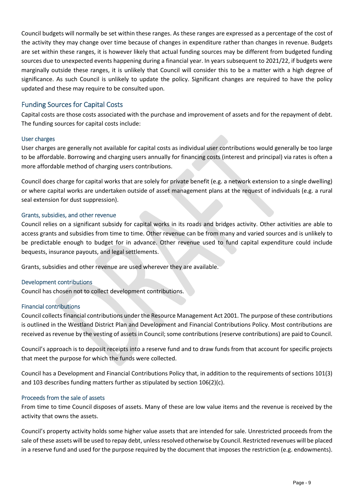Council budgets will normally be set within these ranges. As these ranges are expressed as a percentage of the cost of the activity they may change over time because of changes in expenditure rather than changes in revenue. Budgets are set within these ranges, it is however likely that actual funding sources may be different from budgeted funding sources due to unexpected events happening during a financial year. In years subsequent to 2021/22, if budgets were marginally outside these ranges, it is unlikely that Council will consider this to be a matter with a high degree of significance. As such Council is unlikely to update the policy. Significant changes are required to have the policy updated and these may require to be consulted upon.

# Funding Sources for Capital Costs

Capital costs are those costs associated with the purchase and improvement of assets and for the repayment of debt. The funding sources for capital costs include:

### User charges

User charges are generally not available for capital costs as individual user contributions would generally be too large to be affordable. Borrowing and charging users annually for financing costs (interest and principal) via rates is often a more affordable method of charging users contributions.

Council does charge for capital works that are solely for private benefit (e.g. a network extension to a single dwelling) or where capital works are undertaken outside of asset management plans at the request of individuals (e.g. a rural seal extension for dust suppression).

### Grants, subsidies, and other revenue

Council relies on a significant subsidy for capital works in its roads and bridges activity. Other activities are able to access grants and subsidies from time to time. Other revenue can be from many and varied sources and is unlikely to be predictable enough to budget for in advance. Other revenue used to fund capital expenditure could include bequests, insurance payouts, and legal settlements.

Grants, subsidies and other revenue are used wherever they are available.

#### Development contributions

Council has chosen not to collect development contributions.

#### Financial contributions

Council collects financial contributions under the Resource Management Act 2001. The purpose of these contributions is outlined in the Westland District Plan and Development and Financial Contributions Policy. Most contributions are received as revenue by the vesting of assets in Council; some contributions (reserve contributions) are paid to Council.

Council's approach is to deposit receipts into a reserve fund and to draw funds from that account for specific projects that meet the purpose for which the funds were collected.

Council has a Development and Financial Contributions Policy that, in addition to the requirements of sections 101(3) and 103 describes funding matters further as stipulated by section 106(2)(c).

#### Proceeds from the sale of assets

From time to time Council disposes of assets. Many of these are low value items and the revenue is received by the activity that owns the assets.

Council's property activity holds some higher value assets that are intended for sale. Unrestricted proceeds from the sale of these assets will be used to repay debt, unless resolved otherwise by Council. Restricted revenues will be placed in a reserve fund and used for the purpose required by the document that imposes the restriction (e.g. endowments).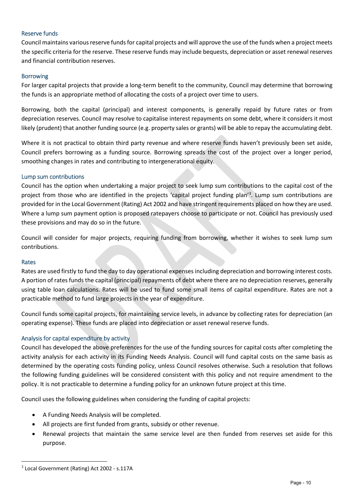### Reserve funds

Council maintains various reserve funds for capital projects and will approve the use of the funds when a project meets the specific criteria for the reserve. These reserve funds may include bequests, depreciation or asset renewal reserves and financial contribution reserves.

#### Borrowing

For larger capital projects that provide a long-term benefit to the community, Council may determine that borrowing the funds is an appropriate method of allocating the costs of a project over time to users.

Borrowing, both the capital (principal) and interest components, is generally repaid by future rates or from depreciation reserves. Council may resolve to capitalise interest repayments on some debt, where it considers it most likely (prudent) that another funding source (e.g. property sales or grants) will be able to repay the accumulating debt.

Where it is not practical to obtain third party revenue and where reserve funds haven't previously been set aside, Council prefers borrowing as a funding source. Borrowing spreads the cost of the project over a longer period, smoothing changes in rates and contributing to intergenerational equity.

#### Lump sum contributions

Council has the option when undertaking a major project to seek lump sum contributions to the capital cost of the project from those who are identified in the projects 'capital project funding plan'<sup>3</sup>. Lump sum contributions are provided for in the Local Government (Rating) Act 2002 and have stringent requirements placed on how they are used. Where a lump sum payment option is proposed ratepayers choose to participate or not. Council has previously used these provisions and may do so in the future.

Council will consider for major projects, requiring funding from borrowing, whether it wishes to seek lump sum contributions.

#### Rates

Rates are used firstly to fund the day to day operational expenses including depreciation and borrowing interest costs. A portion of rates funds the capital (principal) repayments of debt where there are no depreciation reserves, generally using table loan calculations. Rates will be used to fund some small items of capital expenditure. Rates are not a practicable method to fund large projects in the year of expenditure.

Council funds some capital projects, for maintaining service levels, in advance by collecting rates for depreciation (an operating expense). These funds are placed into depreciation or asset renewal reserve funds.

#### Analysis for capital expenditure by activity

Council has developed the above preferences for the use of the funding sources for capital costs after completing the activity analysis for each activity in its Funding Needs Analysis. Council will fund capital costs on the same basis as determined by the operating costs funding policy, unless Council resolves otherwise. Such a resolution that follows the following funding guidelines will be considered consistent with this policy and not require amendment to the policy. It is not practicable to determine a funding policy for an unknown future project at this time.

Council uses the following guidelines when considering the funding of capital projects:

- A Funding Needs Analysis will be completed.
- All projects are first funded from grants, subsidy or other revenue.
- Renewal projects that maintain the same service level are then funded from reserves set aside for this purpose.

<sup>3</sup> Local Government (Rating) Act 2002 - s.117A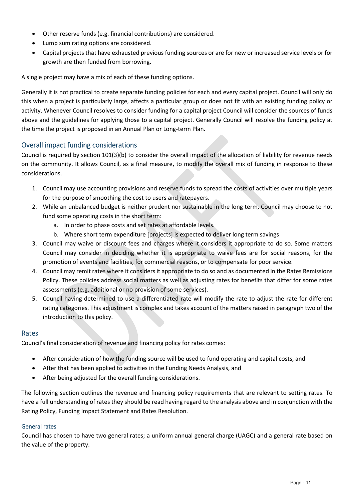- Other reserve funds (e.g. financial contributions) are considered.
- Lump sum rating options are considered.
- Capital projects that have exhausted previous funding sources or are for new or increased service levels or for growth are then funded from borrowing.

A single project may have a mix of each of these funding options.

Generally it is not practical to create separate funding policies for each and every capital project. Council will only do this when a project is particularly large, affects a particular group or does not fit with an existing funding policy or activity. Whenever Council resolves to consider funding for a capital project Council will consider the sources of funds above and the guidelines for applying those to a capital project. Generally Council will resolve the funding policy at the time the project is proposed in an Annual Plan or Long-term Plan.

# Overall impact funding considerations

Council is required by section 101(3)(b) to consider the overall impact of the allocation of liability for revenue needs on the community. It allows Council, as a final measure, to modify the overall mix of funding in response to these considerations.

- 1. Council may use accounting provisions and reserve funds to spread the costs of activities over multiple years for the purpose of smoothing the cost to users and ratepayers.
- 2. While an unbalanced budget is neither prudent nor sustainable in the long term, Council may choose to not fund some operating costs in the short term:
	- a. In order to phase costs and set rates at affordable levels.
	- b. Where short term expenditure [projects] is expected to deliver long term savings
- 3. Council may waive or discount fees and charges where it considers it appropriate to do so. Some matters Council may consider in deciding whether it is appropriate to waive fees are for social reasons, for the promotion of events and facilities, for commercial reasons, or to compensate for poor service.
- 4. Council may remit rates where it considers it appropriate to do so and as documented in the Rates Remissions Policy. These policies address social matters as well as adjusting rates for benefits that differ for some rates assessments (e.g. additional or no provision of some services).
- 5. Council having determined to use a differentiated rate will modify the rate to adjust the rate for different rating categories. This adjustment is complex and takes account of the matters raised in paragraph two of the introduction to this policy.

## Rates

Council's final consideration of revenue and financing policy for rates comes:

- After consideration of how the funding source will be used to fund operating and capital costs, and
- After that has been applied to activities in the Funding Needs Analysis, and
- After being adjusted for the overall funding considerations.

The following section outlines the revenue and financing policy requirements that are relevant to setting rates. To have a full understanding of rates they should be read having regard to the analysis above and in conjunction with the Rating Policy, Funding Impact Statement and Rates Resolution.

## General rates

Council has chosen to have two general rates; a uniform annual general charge (UAGC) and a general rate based on the value of the property.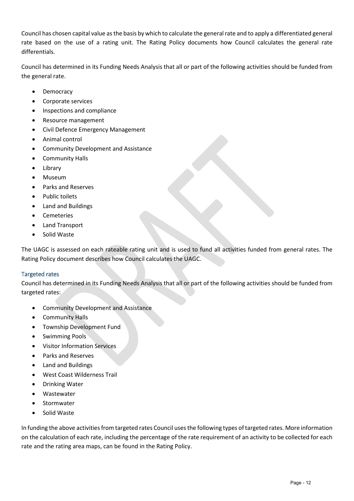Council has chosen capital value as the basis by which to calculate the general rate and to apply a differentiated general rate based on the use of a rating unit. The Rating Policy documents how Council calculates the general rate differentials.

Council has determined in its Funding Needs Analysis that all or part of the following activities should be funded from the general rate.

- Democracy
- Corporate services
- Inspections and compliance
- Resource management
- Civil Defence Emergency Management
- Animal control
- Community Development and Assistance
- Community Halls
- Library
- Museum
- Parks and Reserves
- Public toilets
- Land and Buildings
- Cemeteries
- Land Transport
- Solid Waste

The UAGC is assessed on each rateable rating unit and is used to fund all activities funded from general rates. The Rating Policy document describes how Council calculates the UAGC.

## Targeted rates

Council has determined in its Funding Needs Analysis that all or part of the following activities should be funded from targeted rates:

- Community Development and Assistance
- **•** Community Halls
- Township Development Fund
- Swimming Pools
- Visitor Information Services
- Parks and Reserves
- Land and Buildings
- West Coast Wilderness Trail
- Drinking Water
- Wastewater
- Stormwater
- Solid Waste

In funding the above activities from targeted rates Council uses the following types of targeted rates. More information on the calculation of each rate, including the percentage of the rate requirement of an activity to be collected for each rate and the rating area maps, can be found in the Rating Policy.